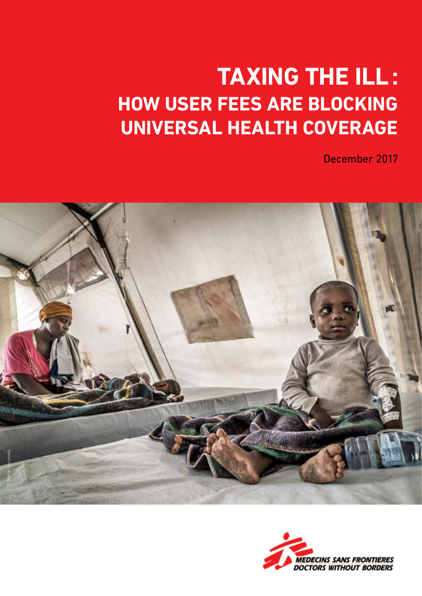### **Taxing the ill: How user fees are blocking Universal Health Coverage**

December 2017



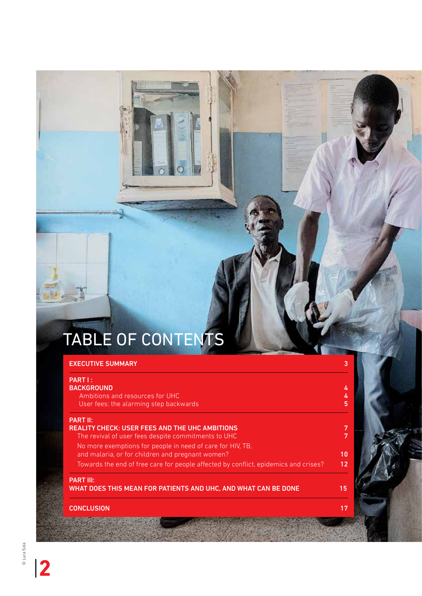# TABLE OF CONTENTS

| <b>EXECUTIVE SUMMARY</b>                                                                                       |        |
|----------------------------------------------------------------------------------------------------------------|--------|
| PART I:                                                                                                        |        |
| <b>BACKGROUND</b>                                                                                              | 4      |
| Ambitions and resources for UHC<br>User fees: the alarming step backwards                                      | 4<br>5 |
| <b>PART II:</b>                                                                                                |        |
| <b>REALITY CHECK: USER FEES AND THE UHC AMBITIONS</b><br>The revival of user fees despite commitments to UHC   | 7<br>7 |
| No more exemptions for people in need of care for HIV, TB,<br>and malaria, or for children and pregnant women? | 10     |
| Towards the end of free care for people affected by conflict, epidemics and crises?                            | 12     |
| <b>PART III:</b><br>WHAT DOES THIS MEAN FOR PATIENTS AND UHC, AND WHAT CAN BE DONE                             | 15     |
| <b>CONCLUSION</b>                                                                                              | 17     |

|**2**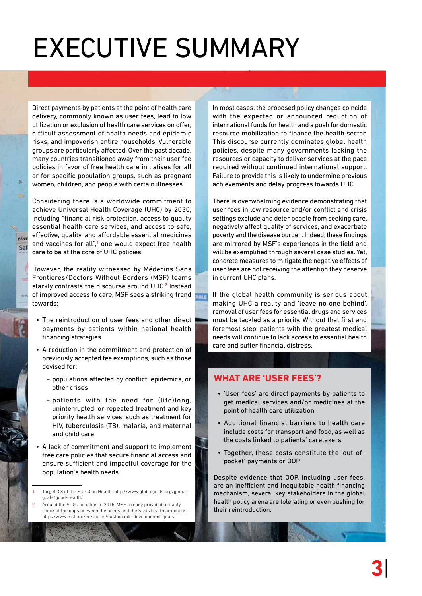# EXECUTIVE Summary

Direct payments by patients at the point of health care delivery, commonly known as user fees, lead to low utilization or exclusion of health care services on offer, difficult assessment of health needs and epidemic risks, and impoverish entire households. Vulnerable groups are particularly affected. Over the past decade, many countries transitioned away from their user fee policies in favor of free health care initiatives for all or for specific population groups, such as pregnant women, children, and people with certain illnesses.

Considering there is a worldwide commitment to achieve Universal Health Coverage (UHC) by 2030, including "financial risk protection, access to quality essential health care services, and access to safe, effective, quality, and affordable essential medicines and vaccines for all",<sup>1</sup> one would expect free health care to be at the core of UHC policies.

 $eim$ Saf

**Cold** 

However, the reality witnessed by Médecins Sans Frontières/Doctors Without Borders (MSF) teams starkly contrasts the discourse around UHC.<sup>2</sup> Instead of improved access to care, MSF sees a striking trend towards:

- The reintroduction of user fees and other direct payments by patients within national health financing strategies
- A reduction in the commitment and protection of previously accepted fee exemptions, such as those devised for:
	- − populations affected by conflict, epidemics, or other crises
	- − patients with the need for (life)long, uninterrupted, or repeated treatment and key priority health services, such as treatment for HIV, tuberculosis (TB), malaria, and maternal and child care
- A lack of commitment and support to implement free care policies that secure financial access and ensure sufficient and impactful coverage for the population's health needs.

In most cases, the proposed policy changes coincide with the expected or announced reduction of international funds for health and a push for domestic resource mobilization to finance the health sector. This discourse currently dominates global health policies, despite many governments lacking the resources or capacity to deliver services at the pace required without continued international support. Failure to provide this is likely to undermine previous achievements and delay progress towards UHC.

There is overwhelming evidence demonstrating that user fees in low resource and/or conflict and crisis settings exclude and deter people from seeking care, negatively affect quality of services, and exacerbate poverty and the disease burden. Indeed, these findings are mirrored by MSF's experiences in the field and will be exemplified through several case studies. Yet, concrete measures to mitigate the negative effects of user fees are not receiving the attention they deserve in current UHC plans.

If the global health community is serious about making UHC a reality and 'leave no one behind', removal of user fees for essential drugs and services must be tackled as a priority. Without that first and foremost step, patients with the greatest medical needs will continue to lack access to essential health care and suffer financial distress.

#### **What are 'user fees'?**

**HIE** 

- 'User fees' are direct payments by patients to get medical services and/or medicines at the point of health care utilization
- • Additional financial barriers to health care include costs for transport and food, as well as the costs linked to patients' caretakers
- • Together, these costs constitute the 'out-ofpocket' payments or OOP

Despite evidence that OOP, including user fees, are an inefficient and inequitable health financing mechanism, several key stakeholders in the global health policy arena are tolerating or even pushing for their reintroduction.

<sup>1</sup> Target 3.8 of the SDG 3 on Health: [http://www.globalgoals.org/global](http://www.globalgoals.org/global-goals/good)[goals/good-](http://www.globalgoals.org/global-goals/good)health/

<sup>2</sup> Around the SDGs adoption in 2015, MSF already provided a reality check of the gaps between the needs and the SDGs health ambitions: <http://www.msf.org/en/topics/sustainable-development-goals>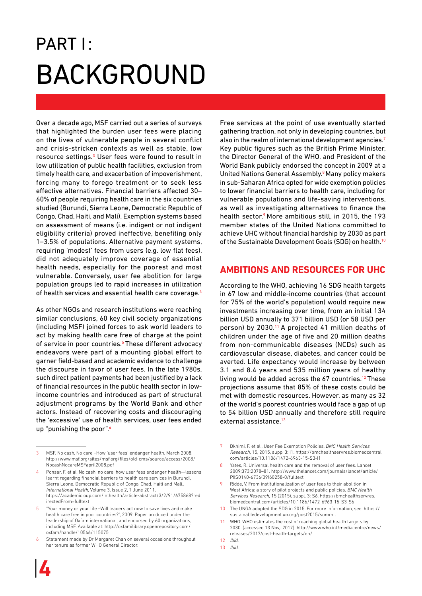### PART I: **BACKGROUND**

Over a decade ago, MSF carried out a series of surveys that highlighted the burden user fees were placing on the lives of vulnerable people in several conflict and crisis-stricken contexts as well as stable, low resource settings.<sup>3</sup> User fees were found to result in low utilization of public health facilities, exclusion from timely health care, and exacerbation of impoverishment, forcing many to forego treatment or to seek less effective alternatives. Financial barriers affected 30– 60% of people requiring health care in the six countries studied (Burundi, Sierra Leone, Democratic Republic of Congo, Chad, Haiti, and Mali). Exemption systems based on assessment of means (i.e. indigent or not indigent eligibility criteria) proved ineffective, benefiting only 1–3.5% of populations. Alternative payment systems, requiring 'modest' fees from users (e.g. low flat fees), did not adequately improve coverage of essential health needs, especially for the poorest and most vulnerable. Conversely, user fee abolition for large population groups led to rapid increases in utilization of health services and essential health care coverage.<sup>4</sup>

As other NGOs and research institutions were reaching similar conclusions, 60 key civil society organizations (including MSF) joined forces to ask world leaders to act by making health care free of charge at the point of service in poor countries.<sup>5</sup> These different advocacy endeavors were part of a mounting global effort to garner field-based and academic evidence to challenge the discourse in favor of user fees. In the late 1980s, such direct patient payments had been justified by a lack of financial resources in the public health sector in lowincome countries and introduced as part of structural adjustment programs by the World Bank and other actors. Instead of recovering costs and discouraging the 'excessive' use of health services, user fees ended up "punishing the poor".<sup>6</sup>

6 Statement made by Dr Margaret Chan on several occasions throughout her tenure as former WHO General Director.

Free services at the point of use eventually started gathering traction, not only in developing countries, but also in the realm of international development agencies.7 Key public figures such as the British Prime Minister, the Director General of the WHO, and President of the World Bank publicly endorsed the concept in 2009 at a United Nations General Assembly.<sup>8</sup> Many policy makers in sub-Saharan Africa opted for wide exemption policies to lower financial barriers to health care, including for vulnerable populations and life-saving interventions, as well as investigating alternatives to finance the health sector.<sup>9</sup> More ambitious still, in 2015, the 193 member states of the United Nations committed to achieve UHC without financial hardship by 2030 as part of the Sustainable Development Goals (SDG) on health.<sup>10</sup>

### **Ambitions and resources for UHC**

According to the WHO, achieving 16 SDG health targets in 67 low and middle-income countries (that account for 75% of the world's population) would require new investments increasing over time, from an initial 134 billion USD annually to 371 billion USD (or 58 USD per person) by 2030.<sup>11</sup> A projected 41 million deaths of children under the age of five and 20 million deaths from non-communicable diseases (NCDs) such as cardiovascular disease, diabetes, and cancer could be averted. Life expectancy would increase by between 3.1 and 8.4 years and 535 million years of healthy living would be added across the  $67$  countries.<sup>12</sup> These projections assume that 85% of these costs could be met with domestic resources. However, as many as 32 of the world's poorest countries would face a gap of up to 54 billion USD annually and therefore still require external assistance.<sup>13</sup>

13 Ibid.

<sup>3</sup> MSF. No cash, No care –How 'user fees' endanger health, March 2008. [http://www.msf.org/sites/msf.org/files/old-cms/source/access/2008/](http://www.msf.org/sites/msf.org/files/old-cms/source/access/2008/NocashNocareMSFapril2008.pdf) [NocashNocareMSFapril2008.pdf](http://www.msf.org/sites/msf.org/files/old-cms/source/access/2008/NocashNocareMSFapril2008.pdf)

<sup>4</sup> Ponsar, F. et al. No cash, no care: how user fees endanger health—lessons learnt regarding financial barriers to health care services in Burundi, Sierra Leone, Democratic Republic of Congo, Chad, Haiti and Mali., International Health, Volume 3, Issue 2, 1 June 2011. [https://academic.oup.com/inthealth/article-abstract/3/2/91/675868?red](https://academic.oup.com/inthealth/article-abstract/3/2/91/675868%3FredirectedFrom%3Dfulltext) [irectedFrom=fulltext](https://academic.oup.com/inthealth/article-abstract/3/2/91/675868%3FredirectedFrom%3Dfulltext)

<sup>5</sup> "Your money or your life –Will leaders act now to save lives and make health care free in poor countries?", 2009. Paper produced under the leadership of Oxfam international, and endorsed by 60 organizations, including MSF. Available at: [http://oxfamilibrary.openrepository.com/](http://oxfamilibrary.openrepository.com/oxfam/handle/10546/115075) [oxfam/handle/10546/115075](http://oxfamilibrary.openrepository.com/oxfam/handle/10546/115075)

<sup>7</sup> Dkhimi, F. et al., User Fee Exemption Policies, BMC Health Services Research, 15, 2015, supp. 3: I1. [https://bmchealthservres.biomedcentral.](https://bmchealthservres.biomedcentral.com/articles/10.1186/1472-6963-15-S3-I1) [com/articles/10.1186/1472-6963-15-S3-I1](https://bmchealthservres.biomedcentral.com/articles/10.1186/1472-6963-15-S3-I1)

<sup>8</sup> Yates, R. Universal health care and the removal of user fees. Lancet 2009;373:2078–81. [http://www.thelancet.com/journals/lancet/article/](http://www.thelancet.com/journals/lancet/article/PIIS0140-6736%2809%2960258-0/fulltext) [PIIS0140-6736\(09\)60258-0/fulltext](http://www.thelancet.com/journals/lancet/article/PIIS0140-6736%2809%2960258-0/fulltext)

<sup>9</sup> Ridde, V. From institutionalization of user fees to their abolition in West Africa: a story of pilot projects and public policies. BMC Health Services Research, 15 (2015), suppl. 3: S6. [https://bmchealthservres.](https://bmchealthservres.biomedcentral.com/articles/10.1186/1472-6963-15-S3-S6) [biomedcentral.com/articles/10.1186/1472-6963-15-S3-S6](https://bmchealthservres.biomedcentral.com/articles/10.1186/1472-6963-15-S3-S6)

<sup>10</sup> The UNGA adopted the SDG in 2015. For more information, see: [https://](https://sustainabledevelopment.un.org/post2015/summit) [sustainabledevelopment.un.org/post2015/summit](https://sustainabledevelopment.un.org/post2015/summit)

<sup>11</sup> WHO. WHO estimates the cost of reaching global health targets by 2030. (accessed 13 Nov,. 2017): [http://www.who.int/mediacentre/news/](http://www.who.int/mediacentre/news/releases/2017/cost-health-targets/en/) [releases/2017/cost-health-targets/en/](http://www.who.int/mediacentre/news/releases/2017/cost-health-targets/en/)

<sup>12</sup> Ibid.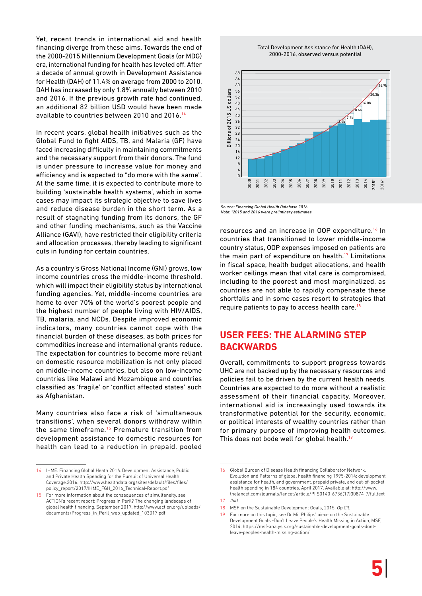Yet, recent trends in international aid and health financing diverge from these aims. Towards the end of the 2000-2015 Millennium Development Goals (or MDG) era, international funding for health has leveled off. After a decade of annual growth in Development Assistance for Health (DAH) of 11.4% on average from 2000 to 2010, DAH has increased by only 1.8% annually between 2010 and 2016. If the previous growth rate had continued, an additional 82 billion USD would have been made available to countries between 2010 and 2016.<sup>14</sup>

In recent years, global health initiatives such as the Global Fund to fight AIDS, TB, and Malaria (GF) have faced increasing difficulty in maintaining commitments and the necessary support from their donors. The fund is under pressure to increase value for money and efficiency and is expected to "do more with the same". At the same time, it is expected to contribute more to building 'sustainable health systems', which in some cases may impact its strategic objective to save lives and reduce disease burden in the short term. As a result of stagnating funding from its donors, the GF and other funding mechanisms, such as the Vaccine Alliance (GAVI), have restricted their eligibility criteria and allocation processes, thereby leading to significant cuts in funding for certain countries.

As a country's Gross National Income (GNI) grows, low income countries cross the middle-income threshold, which will impact their eligibility status by international funding agencies. Yet, middle-income countries are home to over 70% of the world's poorest people and the highest number of people living with HIV/AIDS, TB, malaria, and NCDs. Despite improved economic indicators, many countries cannot cope with the financial burden of these diseases, as both prices for commodities increase and international grants reduce. The expectation for countries to become more reliant on domestic resource mobilization is not only placed on middle-income countries, but also on low-income countries like Malawi and Mozambique and countries classified as 'fragile' or 'conflict affected states' such as Afghanistan.

Many countries also face a risk of 'simultaneous transitions', when several donors withdraw within the same timeframe.<sup>15</sup> Premature transition from development assistance to domestic resources for health can lead to a reduction in prepaid, pooled





Source: Financing Global Health Database 2016 Note: \*2015 and 2016 were preliminary estimates.

resources and an increase in OOP expenditure.16 In countries that transitioned to lower middle-income country status, OOP expenses imposed on patients are the main part of expenditure on health.<sup>17</sup> Limitations in fiscal space, health budget allocations, and health worker ceilings mean that vital care is compromised, including to the poorest and most marginalized, as countries are not able to rapidly compensate these shortfalls and in some cases resort to strategies that require patients to pay to access health care.18

### **User fees: the alarming step backwards**

Overall, commitments to support progress towards UHC are not backed up by the necessary resources and policies fail to be driven by the current health needs. Countries are expected to do more without a realistic assessment of their financial capacity. Moreover, international aid is increasingly used towards its transformative potential for the security, economic, or political interests of wealthy countries rather than for primary purpose of improving health outcomes. This does not bode well for global health.<sup>19</sup>

<sup>14</sup> IHME. Financing Global Heath 2016. Development Assistance, Public and Private Health Spending for the Pursuit of Universal Health Coverage.2016. [http://www.healthdata.org/sites/default/files/files/](http://www.healthdata.org/sites/default/files/files/policy_report/2017/IHME_FGH_2016_Technical-Report.pdf) [policy\\_report/2017/IHME\\_FGH\\_2016\\_Technical-Report.pdf](http://www.healthdata.org/sites/default/files/files/policy_report/2017/IHME_FGH_2016_Technical-Report.pdf)

<sup>15</sup> For more information about the consequences of simultaneity, see ACTION's recent report: Progress in Peril? The changing landscape of global health financing, September 2017. [http://www.action.org/uploads/](http://www.action.org/uploads/documents/Progress_in_Peril_web_updated_103017.pdf) [documents/Progress\\_in\\_Peril\\_web\\_updated\\_103017.pdf](http://www.action.org/uploads/documents/Progress_in_Peril_web_updated_103017.pdf)

<sup>16</sup> Global Burden of Disease Health financing Collaborator Network. Evolution and Patterns of global health financing 1995-2014: development assistance for health, and government, prepaid private, and out-of-pocket health spending in 184 countries, April 2017. Available at: [http://www.](http://www.thelancet.com/journals/lancet/article/PIIS0140-6736%2817%2930874-7/fulltext) [thelancet.com/journals/lancet/article/PIIS0140-6736\(17\)30874-7/fulltext](http://www.thelancet.com/journals/lancet/article/PIIS0140-6736%2817%2930874-7/fulltext) 17 Ibid.

<sup>18</sup> MSF on the Sustainable Development Goals, 2015. <Op.Cit>.

<sup>19</sup> For more on this topic, see Dr Mit Philips' piece on the Sustainable Development Goals -Don't Leave People's Health Missing in Action, MSF, 2014: <https://msf-analysis.org/sustainable>-development-goals-dontleave-peoples-health-missing-action/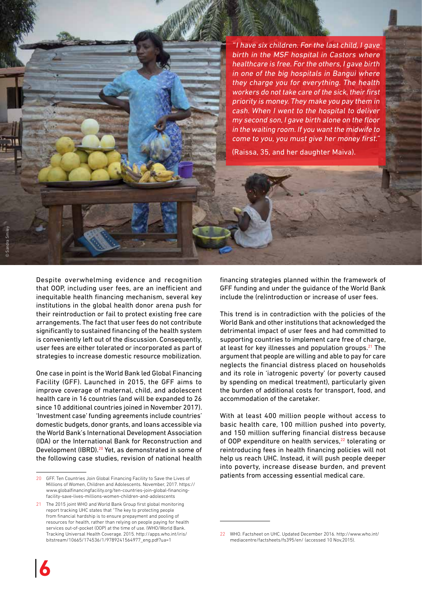"I have six children. For the last child, I gave birth in the MSF hospital in Castors where healthcare is free. For the others, I gave birth in one of the big hospitals in Bangui where they charge you for everything. The health workers do not take care of the sick, their first priority is money. They make you pay them in cash. When I went to the hospital to deliver my second son, I gave birth alone on the floor in the waiting room. If you want the midwife to come to you, you must give her money first."

(Raissa, 35, and her daughter Maiva).

Despite overwhelming evidence and recognition that OOP, including user fees, are an inefficient and inequitable health financing mechanism, several key institutions in the global health donor arena push for their reintroduction or fail to protect existing free care arrangements. The fact that user fees do not contribute significantly to sustained financing of the health system is conveniently left out of the discussion. Consequently, user fees are either tolerated or incorporated as part of strategies to increase domestic resource mobilization.

One case in point is the World Bank led Global Financing Facility (GFF). Launched in 2015, the GFF aims to improve coverage of maternal, child, and adolescent health care in 16 countries (and will be expanded to 26 since 10 additional countries joined in November 2017). 'Investment case' funding agreements include countries' domestic budgets, donor grants, and loans accessible via the World Bank's International Development Association (IDA) or the International Bank for Reconstruction and Development (IBRD).<sup>20</sup> Yet, as demonstrated in some of the following case studies, revision of national health

financing strategies planned within the framework of GFF funding and under the guidance of the World Bank include the (re)introduction or increase of user fees.

This trend is in contradiction with the policies of the World Bank and other institutions that acknowledged the detrimental impact of user fees and had committed to supporting countries to implement care free of charge, at least for key illnesses and population groups. $21$  The argument that people are willing and able to pay for care neglects the financial distress placed on households and its role in 'iatrogenic poverty' (or poverty caused by spending on medical treatment), particularly given the burden of additional costs for transport, food, and accommodation of the caretaker.

With at least 400 million people without access to basic health care, 100 million pushed into poverty, and 150 million suffering financial distress because of OOP expenditure on health services,<sup>22</sup> tolerating or reintroducing fees in health financing policies will not help us reach UHC. Instead, it will push people deeper into poverty, increase disease burden, and prevent patients from accessing essential medical care.

© Sandra Smiley

<sup>20</sup> GFF. Ten Countries Join Global Financing Facility to Save the Lives of Millions of Women, Children and Adolescents. November, 2017. [https://](https://www.globalfinancingfacility.org/ten-countries-join-global-financing-facility-save-lives-millions-women-children-and-adolescents) [www.globalfinancingfacility.org/ten-countries-join-global-financing](https://www.globalfinancingfacility.org/ten-countries-join-global-financing-facility-save-lives-millions-women-children-and-adolescents)[facility-save-lives-millions-women-children-and-adolescents](https://www.globalfinancingfacility.org/ten-countries-join-global-financing-facility-save-lives-millions-women-children-and-adolescents)

<sup>21</sup> The 2015 joint WHO and World Bank Group first global monitoring report tracking UHC states that "The key to protecting people from financial hardship is to ensure prepayment and pooling of resources for health, rather than relying on people paying for health services out-of-pocket (OOP) at the time of use. (WHO/World Bank. Tracking Universal Health Coverage. 2015. [http://apps.who.int/iris/](http://apps.who.int/iris/bitstream/10665/174536/1/9789241564977_eng.pdf%3Fua%3D1) [bitstream/10665/174536/1/9789241564977\\_eng.pdf?ua=1](http://apps.who.int/iris/bitstream/10665/174536/1/9789241564977_eng.pdf%3Fua%3D1)

<sup>22</sup> WHO. Factsheet on UHC. Updated December 2016. [http://www.who.int/](http://www.who.int/mediacentre/factsheets/fs395/en/) [mediacentre/factsheets/fs395/en](http://www.who.int/mediacentre/factsheets/fs395/en/)/ (accessed 10 Nov,2015).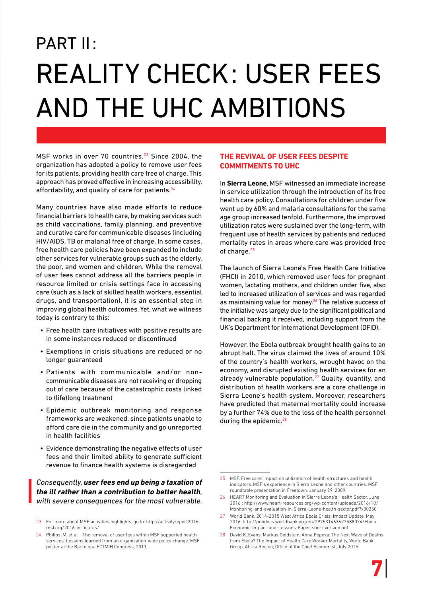## PART II: Reality check: user fees and the UHC ambitions

MSF works in over 70 countries.<sup>23</sup> Since 2004, the organization has adopted a policy to remove user fees for its patients, providing health care free of charge. This approach has proved effective in increasing accessibility, affordability, and quality of care for patients.<sup>24</sup>

Many countries have also made efforts to reduce financial barriers to health care, by making services such as child vaccinations, family planning, and preventive and curative care for communicable diseases (including HIV/AIDS, TB or malaria) free of charge. In some cases, free health care policies have been expanded to include other services for vulnerable groups such as the elderly, the poor, and women and children. While the removal of user fees cannot address all the barriers people in resource limited or crisis settings face in accessing care (such as a lack of skilled health workers, essential drugs, and transportation), it is an essential step in improving global health outcomes. Yet, what we witness today is contrary to this:

- Free health care initiatives with positive results are in some instances reduced or discontinued
- • Exemptions in crisis situations are reduced or no longer guaranteed
- • Patients with communicable and/or noncommunicable diseases are not receiving or dropping out of care because of the catastrophic costs linked to (life)long treatment
- • Epidemic outbreak monitoring and response frameworks are weakened, since patients unable to afford care die in the community and go unreported in health facilities
- Evidence demonstrating the negative effects of user fees and their limited ability to generate sufficient revenue to finance health systems is disregarded

#### Consequently, **user fees end up being a taxation of the ill rather than a contribution to better health**, with severe consequences for the most vulnerable.

#### **The revival of user fees despite commitments to UHC**

In **Sierra Leone**, MSF witnessed an immediate increase in service utilization through the introduction of its free health care policy. Consultations for children under five went up by 60% and malaria consultations for the same age group increased tenfold. Furthermore, the improved utilization rates were sustained over the long-term, with frequent use of health services by patients and reduced mortality rates in areas where care was provided free of charge.25

The launch of Sierra Leone's Free Health Care Initiative (FHCI) in 2010, which removed user fees for pregnant women, lactating mothers, and children under five, also led to increased utilization of services and was regarded as maintaining value for money.<sup>26</sup> The relative success of the initiative was largely due to the significant political and financial backing it received, including support from the UK's Department for International Development (DFID).

However, the Ebola outbreak brought health gains to an abrupt halt. The virus claimed the lives of around 10% of the country's health workers, wrought havoc on the economy, and disrupted existing health services for an already vulnerable population. $27$  Quality, quantity, and distribution of health workers are a core challenge in Sierra Leone's health system. Moreover, researchers have predicted that maternal mortality could increase by a further 74% due to the loss of the health personnel during the epidemic.<sup>28</sup>

<sup>23</sup> For more about MSF activities highlights, go to: [http://activityreport2016.](http://activityreport2016.msf.org/2016-in-figures/) [msf.org/2016-in-figures/](http://activityreport2016.msf.org/2016-in-figures/)

<sup>24</sup> Philips, M. et al – The removal of user fees within MSF supported health services: Lessons learned from an organization-wide policy change. MSF poster at the Barcelona ECTMIH Congress, 2011.

<sup>25</sup> MSF. Free care: impact on utilization of health structures and health indicators. MSF's experience in Sierra Leone and other countries. MSF roundtable presentation in Freetown. January 29, 2009.

<sup>26</sup> HEART Monitoring and Evaluation in Sierra Leone's Health Sector. June 2016 : [http://www.heart-resources.org/wp-content/uploads/2016/10/](http://www.heart-resources.org/wp-content/uploads/2016/10/Monitoring-and-evaluation-in-Sierra-Leone-health-sector.pdf%3Fx30250) [Monitoring-and-evaluation-in-Sierra-Leone-health-sector.pdf?x30250](http://www.heart-resources.org/wp-content/uploads/2016/10/Monitoring-and-evaluation-in-Sierra-Leone-health-sector.pdf%3Fx30250)

<sup>27</sup> World Bank. 2014-2015 West Africa Ebola Crisis: Impact Update. May 2016. [http://pubdocs.worldbank.org/en/297531463677588074/Ebola-](http://pubdocs.worldbank.org/en/297531463677588074/Ebola-Economic-Impact-and-Lessons-Paper-short-version.pdf)[Economic-Impact-and-Lessons-Paper-short-version.pdf](http://pubdocs.worldbank.org/en/297531463677588074/Ebola-Economic-Impact-and-Lessons-Paper-short-version.pdf)

<sup>28</sup> David K. Evans, Markus Goldstein, Anna Popova: The Next Wave of Deaths from Ebola? The Impact of Health Care Worker Mortality, World Bank Group, Africa Region, Office of the Chief Economist, July 2015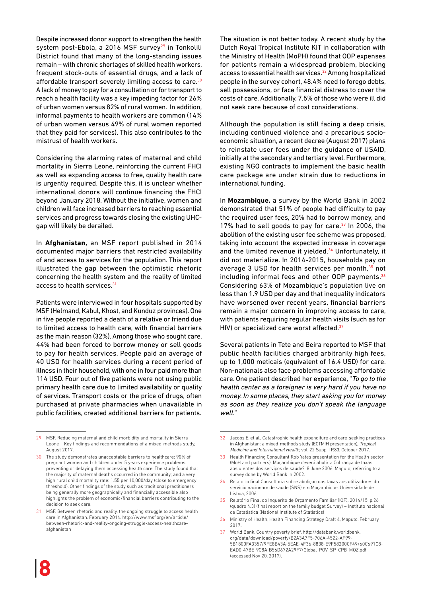Despite increased donor support to strengthen the health system post-Ebola, a 2016 MSF survey<sup>29</sup> in Tonkolili District found that many of the long-standing issues remain – with chronic shortages of skilled health workers, frequent stock-outs of essential drugs, and a lack of affordable transport severely limiting access to care.<sup>30</sup> A lack of money to pay for a consultation or for transport to reach a health facility was a key impeding factor for 26% of urban women versus 82% of rural women. In addition, informal payments to health workers are common (14% of urban women versus 49% of rural women reported that they paid for services). This also contributes to the mistrust of health workers.

Considering the alarming rates of maternal and child mortality in Sierra Leone, reinforcing the current FHCI as well as expanding access to free, quality health care is urgently required. Despite this, it is unclear whether international donors will continue financing the FHCI beyond January 2018. Without the initiative, women and children will face increased barriers to reaching essential services and progress towards closing the existing UHCgap will likely be derailed.

In **Afghanistan,** an MSF report published in 2014 documented major barriers that restricted availability of and access to services for the population. This report illustrated the gap between the optimistic rhetoric concerning the health system and the reality of limited access to health services. 31

Patients were interviewed in four hospitals supported by MSF (Helmand, Kabul, Khost, and Kunduz provinces). One in five people reported a death of a relative or friend due to limited access to health care, with financial barriers as the main reason (32%). Among those who sought care, 44% had been forced to borrow money or sell goods to pay for health services. People paid an average of 40 USD for health services during a recent period of illness in their household, with one in four paid more than 114 USD. Four out of five patients were not using public primary health care due to limited availability or quality of services. Transport costs or the price of drugs, often purchased at private pharmacies when unavailable in public facilities, created additional barriers for patients.

The situation is not better today. A recent study by the Dutch Royal Tropical Institute KIT in collaboration with the Ministry of Health (MoPH) found that OOP expenses for patients remain a widespread problem, blocking access to essential health services.<sup>32</sup> Among hospitalized people in the survey cohort, 48.4% need to forego debts, sell possessions, or face financial distress to cover the costs of care. Additionally, 7.5% of those who were ill did not seek care because of cost considerations.

Although the population is still facing a deep crisis, including continued violence and a precarious socioeconomic situation, a recent decree (August 2017) plans to reinstate user fees under the guidance of USAID, initially at the secondary and tertiary level. Furthermore, existing NGO contracts to implement the basic health care package are under strain due to reductions in international funding.

In **Mozambique,** a survey by the World Bank in 2002 demonstrated that 51% of people had difficulty to pay the required user fees, 20% had to borrow money, and 17% had to sell goods to pay for care.<sup>33</sup> In 2006, the abolition of the existing user fee scheme was proposed, taking into account the expected increase in coverage and the limited revenue it yielded.<sup>34</sup> Unfortunately, it did not materialize. In 2014-2015, households pay on average 3 USD for health services per month,<sup>35</sup> not including informal fees and other OOP payments.<sup>36</sup> Considering 63% of Mozambique's population live on less than 1.9 USD per day and that inequality indicators have worsened over recent years, financial barriers remain a major concern in improving access to care, with patients requiring regular health visits (such as for HIV) or specialized care worst affected.<sup>37</sup>

Several patients in Tete and Beira reported to MSF that public health facilities charged arbitrarily high fees, up to 1,000 meticais (equivalent of 16.4 USD) for care. Non-nationals also face problems accessing affordable care. One patient described her experience, "To go to the health center as a foreigner is very hard if you have no money. In some places, they start asking you for money as soon as they realize you don't speak the language well."

<sup>29</sup> MSF. Reducing maternal and child morbidity and mortality in Sierra Leone – Key findings and recommendations of a mixed-methods study, August 2017.

<sup>30</sup> The study demonstrates unacceptable barriers to healthcare: 90% of pregnant women and children under 5 years experience problems preventing or delaying them accessing health care. The study found that the majority of maternal deaths occurred in the community; and a very high rural child mortality rate: 1.55 per 10,000/day (close to emergency threshold). Other findings of the study such as traditional practitioners being generally more geographically and financially accessible also highlights the problem of economic/financial barriers contributing to the decision to seek care.

<sup>31</sup> MSF. Between rhetoric and reality, the ongoing struggle to access health care in Afghanistan. February 2014. [http://www.msf.org/en/article/](http://www.msf.org/en/article/between-rhetoric-and-reality-ongoing-struggle-access-healthcare-afghanistan) [between-rhetoric-and-reality-ongoing-struggle-access-healthcare](http://www.msf.org/en/article/between-rhetoric-and-reality-ongoing-struggle-access-healthcare-afghanistan)[afghanistan](http://www.msf.org/en/article/between-rhetoric-and-reality-ongoing-struggle-access-healthcare-afghanistan)

<sup>32</sup> Jacobs E. et al., Catastrophic health expenditure and care-seeking practices in Afghanistan: a mixed-methods study (ECTMIH presentation), Tropical Medicine and International Health, vol. 22 Supp. I P.83, October 2017.

<sup>33</sup> Health Financing Consultant Rob Yates presentation for the Health sector (MoH and partners). Moçambique deverá abolir a Cobrança de taxas aos utentes dos serviços de saúde?' 8 June 2006, Maputo; referring to a survey done by World Bank in 2002.

<sup>34</sup> Relatorio final Consultoria sobre aboliçao das taxas aos utilizadores do servicio nacionam de saude (SNS) em Moçambique. Universidade de Lisboa, 2006

<sup>35</sup> Relatório Final do Inquérito de Orçamento Familiar (IOF), 2014/15, p.26 (quadro 4.3) (final report on the family budget Survey) – Instituto nacional de Estatistica (National Institute of Statistics)

<sup>36</sup> Ministry of Health, Health Financing Strategy Draft 4, Maputo. February 2017.

<sup>37</sup> World Bank. Country poverty brief. [http://databank.worldbank.](http://databank.worldbank.org/data/download/poverty/B2A3A7F5-706A-4522-AF99-5B1800FA3357/9FE8B43A-5EAE-4F36-8838-E9F58200CF49/60C691C8-EAD0-47BE-9C8A-B56D672A29F7/Global_POV_SP_CPB_MOZ.pdf) [org/data/download/poverty/B2A3A7F5-706A-4522-AF99-](http://databank.worldbank.org/data/download/poverty/B2A3A7F5-706A-4522-AF99-5B1800FA3357/9FE8B43A-5EAE-4F36-8838-E9F58200CF49/60C691C8-EAD0-47BE-9C8A-B56D672A29F7/Global_POV_SP_CPB_MOZ.pdf) [5B1800FA3357/9FE8B43A-5EAE-4F36-8838-E9F58200CF49/60C691C8-](http://databank.worldbank.org/data/download/poverty/B2A3A7F5-706A-4522-AF99-5B1800FA3357/9FE8B43A-5EAE-4F36-8838-E9F58200CF49/60C691C8-EAD0-47BE-9C8A-B56D672A29F7/Global_POV_SP_CPB_MOZ.pdf) [EAD0-47BE-9C8A-B56D672A29F7/Global\\_POV\\_SP\\_CPB\\_MOZ.pdf](http://databank.worldbank.org/data/download/poverty/B2A3A7F5-706A-4522-AF99-5B1800FA3357/9FE8B43A-5EAE-4F36-8838-E9F58200CF49/60C691C8-EAD0-47BE-9C8A-B56D672A29F7/Global_POV_SP_CPB_MOZ.pdf)  (accessed Nov 20, 2017).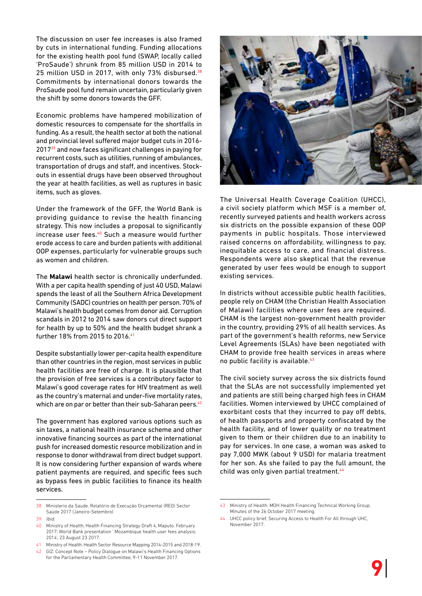The discussion on user fee increases is also framed by cuts in international funding. Funding allocations for the existing health pool fund (SWAP, locally called 'ProSaude') shrunk from 85 million USD in 2014 to 25 million USD in 2017, with only 73% disbursed.<sup>38</sup> Commitments by international donors towards the ProSaude pool fund remain uncertain, particularly given the shift by some donors towards the GFF.

Economic problems have hampered mobilization of domestic resources to compensate for the shortfalls in funding. As a result, the health sector at both the national and provincial level suffered major budget cuts in 2016- 201739 and now faces significant challenges in paying for recurrent costs, such as utilities, running of ambulances, transportation of drugs and staff, and incentives. Stockouts in essential drugs have been observed throughout the year at health facilities, as well as ruptures in basic items, such as gloves.

Under the framework of the GFF, the World Bank is providing guidance to revise the health financing strategy. This now includes a proposal to significantly increase user fees.<sup>40</sup> Such a measure would further erode access to care and burden patients with additional OOP expenses, particularly for vulnerable groups such as women and children.

The **Malawi** health sector is chronically underfunded. With a per capita health spending of just 40 USD, Malawi spends the least of all the Southern Africa Development Community (SADC) countries on health per person. 70% of Malawi's health budget comes from donor aid. Corruption scandals in 2012 to 2014 saw donors cut direct support for health by up to 50% and the health budget shrank a further 18% from 2015 to 2016.41

Despite substantially lower per-capita health expenditure than other countries in the region, most services in public health facilities are free of charge. It is plausible that the provision of free services is a contributory factor to Malawi's good coverage rates for HIV treatment as well as the country's maternal and under-five mortality rates, which are on par or better than their sub-Saharan peers.<sup>42</sup>

The government has explored various options such as sin taxes, a national health insurance scheme and other innovative financing sources as part of the international push for increased domestic resource mobilization and in response to donor withdrawal from direct budget support. It is now considering further expansion of wards where patient payments are required, and specific fees such as bypass fees in public facilities to finance its health services.

39 Ibid.



The Universal Health Coverage Coalition (UHCC), a civil society platform which MSF is a member of, recently surveyed patients and health workers across six districts on the possible expansion of these OOP payments in public hospitals. Those interviewed raised concerns on affordability, willingness to pay, inequitable access to care, and financial distress. Respondents were also skeptical that the revenue generated by user fees would be enough to support existing services.

In districts without accessible public health facilities, people rely on CHAM (the Christian Health Association of Malawi) facilities where user fees are required. CHAM is the largest non-government health provider in the country, providing 29% of all health services. As part of the government's health reforms, new Service Level Agreements (SLAs) have been negotiated with CHAM to provide free health services in areas where no public facility is available.43

The civil society survey across the six districts found that the SLAs are not successfully implemented yet and patients are still being charged high fees in CHAM facilities. Women interviewed by UHCC complained of exorbitant costs that they incurred to pay off debts, of health passports and property confiscated by the health facility, and of lower quality or no treatment given to them or their children due to an inability to pay for services. In one case, a woman was asked to pay 7,000 MWK (about 9 USD) for malaria treatment for her son. As she failed to pay the full amount, the child was only given partial treatment.<sup>44</sup>

<sup>38</sup> Ministerio da Saude. Relatório de Execução Orçamental (REO) Sector Saúde 2017 (Janeiro-Setembro)

<sup>40</sup> Ministry of Health, Health Financing Strategy Draft 4, Maputo. February 2017; World Bank presentation ' Mozambique health user fees analysis: 2014', 23 August 23 2017.

<sup>41</sup> Ministry of Health. Health Sector Resource Mapping 2014-2015 and 2018-19.

<sup>42</sup> GIZ: Concept Note – Policy Dialogue on Malawi's Health Financing Options for the Parliamentary Health Committee, 9-11 November 2017.

<sup>43</sup> Ministry of Health. MOH Health Financing Technical Working Group. Minutes of the 26 October 2017 meeting.

UHCC policy brief, Securing Access to Health For All through UHC, November 2017.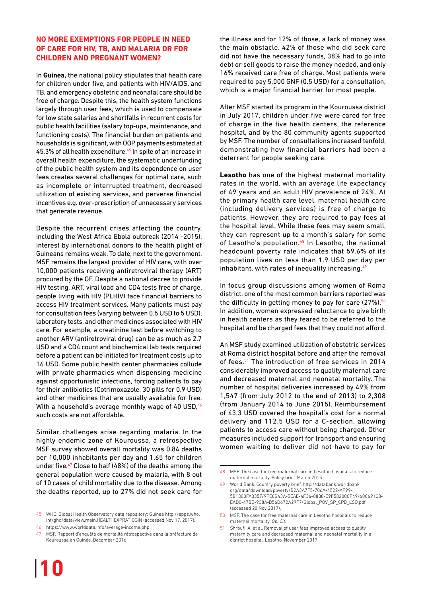#### **No more exemptions for people in need of care for HIV, TB, and malaria or for children and pregnant women?**

In **Guinea,** the national policy stipulates that health care for children under five, and patients with HIV/AIDS, and TB, and emergency obstetric and neonatal care should be free of charge. Despite this, the health system functions largely through user fees, which is used to compensate for low state salaries and shortfalls in recurrent costs for public health facilities (salary top-ups, maintenance, and functioning costs). The financial burden on patients and households is significant, with OOP payments estimated at 45.3% of all health expenditure.45 In spite of an increase in overall health expenditure, the systematic underfunding of the public health system and its dependence on user fees creates several challenges for optimal care, such as incomplete or interrupted treatment, decreased utilization of existing services, and perverse financial incentives e.g. over-prescription of unnecessary services that generate revenue.

Despite the recurrent crises affecting the country, including the West Africa Ebola outbreak (2014 -2015), interest by international donors to the health plight of Guineans remains weak. To date, next to the government, MSF remains the largest provider of HIV care, with over 10,000 patients receiving antiretroviral therapy (ART) procured by the GF. Despite a national decree to provide HIV testing, ART, viral load and CD4 tests free of charge, people living with HIV (PLHIV) face financial barriers to access HIV treatment services. Many patients must pay for consultation fees (varying between 0.5 USD to 5 USD), laboratory tests, and other medicines associated with HIV care. For example, a creatinine test before switching to another ARV (antiretroviral drug) can be as much as 2.7 USD and a CD4 count and biochemical lab tests required before a patient can be initiated for treatment costs up to 16 USD. Some public health center pharmacies collude with private pharmacies when dispensing medicine against opportunistic infections, forcing patients to pay for their antibiotics (Cotrimoxazole, 30 pills for 0.9 USD) and other medicines that are usually available for free. With a household's average monthly wage of 40 USD, 46 such costs are not affordable.

Similar challenges arise regarding malaria. In the highly endemic zone of Kouroussa, a retrospective MSF survey showed overall mortality was 0.84 deaths per 10,000 inhabitants per day and 1.65 for children under five.<sup>47</sup> Close to half (48%) of the deaths among the general population were caused by malaria, with 8 out of 10 cases of child mortality due to the disease. Among the deaths reported, up to 27% did not seek care for

the illness and for 12% of those, a lack of money was the main obstacle. 42% of those who did seek care did not have the necessary funds, 38% had to go into debt or sell goods to raise the money needed, and only 16% received care free of charge. Most patients were required to pay 5,000 GNF (0.5 USD) for a consultation, which is a major financial barrier for most people.

After MSF started its program in the Kouroussa district in July 2017, children under five were cared for free of charge in the five health centers, the reference hospital, and by the 80 community agents supported by MSF. The number of consultations increased tenfold, demonstrating how financial barriers had been a deterrent for people seeking care.

**Lesotho** has one of the highest maternal mortality rates in the world, with an average life expectancy of 49 years and an adult HIV prevalence of 24%. At the primary health care level, maternal health care (including delivery services) is free of charge to patients. However, they are required to pay fees at the hospital level. While these fees may seem small, they can represent up to a month's salary for some of Lesotho's population.<sup>48</sup> In Lesotho, the national headcount poverty rate indicates that 59.6% of its population lives on less than 1.9 USD per day per inhabitant, with rates of inequality increasing. $49$ 

In focus group discussions among women of Roma district, one of the most common barriers reported was the difficulty in getting money to pay for care  $(27\%)$ .<sup>50</sup> In addition, women expressed reluctance to give birth in health centers as they feared to be referred to the hospital and be charged fees that they could not afford.

An MSF study examined utilization of obstetric services at Roma district hospital before and after the removal of fees.<sup>51</sup> The introduction of free services in 2014 considerably improved access to quality maternal care and decreased maternal and neonatal mortality. The number of hospital deliveries increased by 49% from 1,547 (from July 2012 to the end of 2013) to 2,308 (from January 2014 to June 2015). Reimbursement of 43.3 USD covered the hospital's cost for a normal delivery and 112.5 USD for a C-section, allowing patients to access care without being charged. Other measures included support for transport and ensuring women waiting to deliver did not have to pay for

<sup>45</sup> WHO, Global Health Observatory data repository: Guinea [http://apps.who.](http://apps.who.int/gho/data/view.main.HEALTHEXPRATIOGIN) [int/gho/data/view.main.HEALTHEXPRATIOGIN](http://apps.who.int/gho/data/view.main.HEALTHEXPRATIOGIN) (accessed Nov 17, 2017).

<sup>46</sup> <https://www.worlddata.info/average-income.php>

<sup>47</sup> MSF. Rapport d'enquête de mortalité rétrospective dans la préfecture de Kouroussa en Guinée. December 2016

<sup>48</sup> MSF. The case for free maternal care in Lesotho hospitals to reduce maternal mortality. Policy brief. March 2015.

<sup>49</sup> World Bank. Country poverty brief. [http://databank.worldbank.](http://databank.worldbank.org/data/download/poverty/B2A3A7F5-706A-4522-AF99-5B1800FA3357/9FE8B43A-5EAE-4F36-8838-E9F58200CF49/60C691C8-EAD0-47BE-9C8A-B56D672A29F7/Global_POV_SP_CPB_LSO.pdf) [org/data/download/poverty/B2A3A7F5-706A-4522-AF99-](http://databank.worldbank.org/data/download/poverty/B2A3A7F5-706A-4522-AF99-5B1800FA3357/9FE8B43A-5EAE-4F36-8838-E9F58200CF49/60C691C8-EAD0-47BE-9C8A-B56D672A29F7/Global_POV_SP_CPB_LSO.pdf) [5B1800FA3357/9FE8B43A-5EAE-4F36-8838-E9F58200CF49/60C691C8-](http://databank.worldbank.org/data/download/poverty/B2A3A7F5-706A-4522-AF99-5B1800FA3357/9FE8B43A-5EAE-4F36-8838-E9F58200CF49/60C691C8-EAD0-47BE-9C8A-B56D672A29F7/Global_POV_SP_CPB_LSO.pdf) [EAD0-47BE-9C8A-B56D672A29F7/Global\\_POV\\_SP\\_CPB\\_LSO.pdf](http://databank.worldbank.org/data/download/poverty/B2A3A7F5-706A-4522-AF99-5B1800FA3357/9FE8B43A-5EAE-4F36-8838-E9F58200CF49/60C691C8-EAD0-47BE-9C8A-B56D672A29F7/Global_POV_SP_CPB_LSO.pdf)  (accessed 20 Nov 2017).

<sup>50</sup> MSF. The case for free maternal care in Lesotho hospitals to reduce maternal mortality. Op. Cit.

Shroufi, A. et al. Removal of user fees improved access to quality maternity care and decreased maternal and neonatal mortality in a district hospital, Lesotho, November 2017.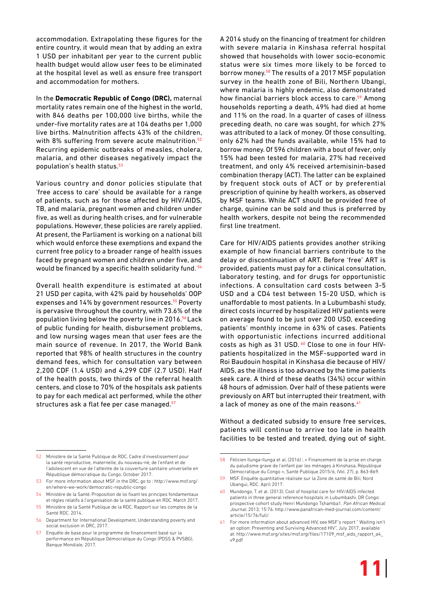accommodation. Extrapolating these figures for the entire country, it would mean that by adding an extra 1 USD per inhabitant per year to the current public health budget would allow user fees to be eliminated at the hospital level as well as ensure free transport and accommodation for mothers.

In the **Democratic Republic of Congo (DRC),** maternal mortality rates remain one of the highest in the world, with 846 deaths per 100,000 live births, while the under-five mortality rates are at 104 deaths per 1,000 live births. Malnutrition affects 43% of the children, with 8% suffering from severe acute malnutrition.<sup>52</sup> Recurring epidemic outbreaks of measles, cholera, malaria, and other diseases negatively impact the population's health status.<sup>53</sup>

Various country and donor policies stipulate that 'free access to care' should be available for a range of patients, such as for those affected by HIV/AIDS, TB, and malaria, pregnant women and children under five, as well as during health crises, and for vulnerable populations. However, these policies are rarely applied. At present, the Parliament is working on a national bill which would enforce these exemptions and expand the current free policy to a broader range of health issues faced by pregnant women and children under five, and would be financed by a specific health solidarity fund. 54

Overall health expenditure is estimated at about 21 USD per capita, with 42% paid by households' OOP expenses and 14% by government resources.<sup>55</sup> Poverty is pervasive throughout the country, with 73.6% of the population living below the poverty line in 2016.56 Lack of public funding for health, disbursement problems, and low nursing wages mean that user fees are the main source of revenue. In 2017, the World Bank reported that 98% of health structures in the country demand fees, which for consultation vary between 2,200 CDF (1.4 USD) and 4,299 CDF (2.7 USD). Half of the health posts, two thirds of the referral health centers, and close to 70% of the hospitals ask patients to pay for each medical act performed, while the other structures ask a flat fee per case managed.<sup>57</sup>

A 2014 study on the financing of treatment for children with severe malaria in Kinshasa referral hospital showed that households with lower socio-economic status were six times more likely to be forced to borrow money.58 The results of a 2017 MSF population survey in the health zone of Bili, Northern Ubangi, where malaria is highly endemic, also demonstrated how financial barriers block access to care.<sup>59</sup> Among households reporting a death, 49% had died at home and 11% on the road. In a quarter of cases of illness preceding death, no care was sought, for which 27% was attributed to a lack of money. Of those consulting, only 62% had the funds available, while 15% had to borrow money. Of 596 children with a bout of fever, only 15% had been tested for malaria, 27% had received treatment, and only 4% received artemisinin-based combination therapy (ACT). The latter can be explained by frequent stock outs of ACT or by preferential prescription of quinine by health workers, as observed by MSF teams. While ACT should be provided free of charge, quinine can be sold and thus is preferred by health workers, despite not being the recommended first line treatment.

Care for HIV/AIDS patients provides another striking example of how financial barriers contribute to the delay or discontinuation of ART. Before 'free' ART is provided, patients must pay for a clinical consultation, laboratory testing, and for drugs for opportunistic infections. A consultation card costs between 3-5 USD and a CD4 test between 15-20 USD, which is unaffordable to most patients. In a Lubumbashi study, direct costs incurred by hospitalized HIV patients were on average found to be just over 200 USD, exceeding patients' monthly income in 63% of cases. Patients with opportunistic infections incurred additional costs as high as 31 USD.<sup>60</sup> Close to one in four HIVpatients hospitalized in the MSF-supported ward in Roi Baudouin hospital in Kinshasa die because of HIV/ AIDS, as the illness is too advanced by the time patients seek care. A third of these deaths (34%) occur within 48 hours of admission. Over half of these patients were previously on ART but interrupted their treatment, with a lack of money as one of the main reasons.<sup>61</sup>

Without a dedicated subsidy to ensure free services, patients will continue to arrive too late in health facilities to be tested and treated, dying out of sight.

<sup>52</sup> Ministère de la Santé Publique de RDC, Cadre d'investissement pour la santé reproductive, maternelle, du nouveau-né, de l'enfant et de l'adolescent en vue de l'atteinte de la couverture sanitaire universelle en République démocratique du Congo. October 2017.

<sup>53</sup> For more information about MSF in the DRC, go to : [http://www.msf.org/](http://www.msf.org/en/where-we-work/democratic-republic-congo) [en/where-we-work/democratic-republic-congo](http://www.msf.org/en/where-we-work/democratic-republic-congo)

<sup>54</sup> Ministère de la Santé. Proposition de loi fixant les principes fondamentaux et règles relatifs à l'organisation de la santé publique en RDC. March 2017.

<sup>55</sup> Ministère de la Santé Publique de la RDC. Rapport sur les comptes de la Santé RDC. 2014.

<sup>56</sup> Department for International Development, Understanding poverty and social exclusion in DRC, 2017.

<sup>57</sup> Enquête de base pour le programme de financement basé sur la performance en République Démocratique du Congo (PDSS & PVSBG), Banque Mondiale, 2017.

<sup>58</sup> Félicien Ilunga-Ilunga et al, (2016) ; « Financement de la prise en charge du paludisme grave de l'enfant par les ménages à Kinshasa, République Démocratique du Congo », Santé Publique 2015/6, (Vol. 27), p. 863-869.

<sup>59</sup> MSF. Enquête quantitative réalisée sur la Zone de santé de Bili, Nord Ubangui, RDC. April 2017.

<sup>60</sup> Mundongo, T. et al. (2013); Cost of hospital care for HIV/AIDS infected patients in three general reference hospitals in Lubumbashi, DR Congo: prospective cohort study Henri Mundongo Tshamba1. Pan African Medical Journal. 2013; 15:76. [http://www.panafrican-med-journal.com/content/](http://www.panafrican-med-journal.com/content/article/15/76/full) [article/15/76/full/](http://www.panafrican-med-journal.com/content/article/15/76/full)

<sup>61</sup> For more information about advanced HIV, see MSF's report " Waiting isn't an option: Preventing and Surviving Advanced HIV", July 2017, available at: [http://www.msf.org/sites/msf.org/files/17109\\_msf\\_aids\\_rapport\\_a4\\_](http://www.msf.org/sites/msf.org/files/17109_msf_aids_rapport_a4_v9.pdf) [v9.pdf](http://www.msf.org/sites/msf.org/files/17109_msf_aids_rapport_a4_v9.pdf)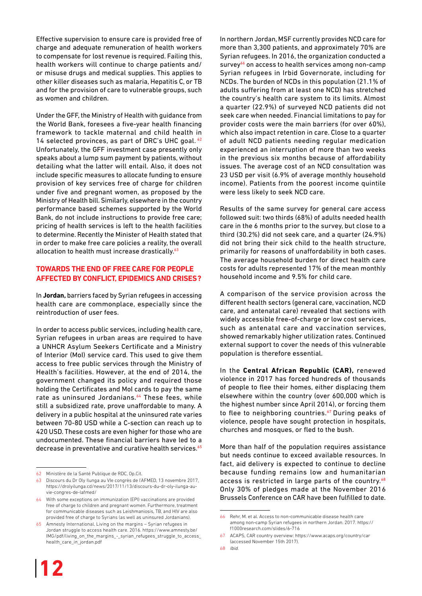Effective supervision to ensure care is provided free of charge and adequate remuneration of health workers to compensate for lost revenue is required. Failing this, health workers will continue to charge patients and/ or misuse drugs and medical supplies. This applies to other killer diseases such as malaria, Hepatitis C, or TB and for the provision of care to vulnerable groups, such as women and children.

Under the GFF, the Ministry of Health with guidance from the World Bank, foresees a five-year health financing framework to tackle maternal and child health in 14 selected provinces, as part of DRC's UHC goal.  $62$ Unfortunately, the GFF investment case presently only speaks about a lump sum payment by patients, without detailing what the latter will entail. Also, it does not include specific measures to allocate funding to ensure provision of key services free of charge for children under five and pregnant women, as proposed by the Ministry of Health bill. Similarly, elsewhere in the country performance based schemes supported by the World Bank, do not include instructions to provide free care; pricing of health services is left to the health facilities to determine. Recently the Minister of Health stated that in order to make free care policies a reality, the overall allocation to health must increase drastically.<sup>63</sup>

#### **Towards the end of free care for people affected by conflict, epidemics and crises?**

In **Jordan,** barriers faced by Syrian refugees in accessing health care are commonplace, especially since the reintroduction of user fees.

In order to access public services, including health care, Syrian refugees in urban areas are required to have a UNHCR Asylum Seekers Certificate and a Ministry of Interior (MoI) service card. This used to give them access to free public services through the Ministry of Health's facilities. However, at the end of 2014, the government changed its policy and required those holding the Certificates and MoI cards to pay the same rate as uninsured Jordanians.<sup>64</sup> These fees, while still a subsidized rate, prove unaffordable to many. A delivery in a public hospital at the uninsured rate varies between 70-80 USD while a C-section can reach up to 420 USD. These costs are even higher for those who are undocumented. These financial barriers have led to a decrease in preventative and curative health services.<sup>65</sup>

In northern Jordan, MSF currently provides NCD care for more than 3,300 patients, and approximately 70% are Syrian refugees. In 2016, the organization conducted a survey<sup>66</sup> on access to health services among non-camp Syrian refugees in Irbid Governorate, including for NCDs. The burden of NCDs in this population (21.1% of adults suffering from at least one NCD) has stretched the country's health care system to its limits. Almost a quarter (22.9%) of surveyed NCD patients did not seek care when needed. Financial limitations to pay for provider costs were the main barriers (for over 60%), which also impact retention in care. Close to a quarter of adult NCD patients needing regular medication experienced an interruption of more than two weeks in the previous six months because of affordability issues. The average cost of an NCD consultation was 23 USD per visit (6.9% of average monthly household income). Patients from the poorest income quintile were less likely to seek NCD care.

Results of the same survey for general care access followed suit: two thirds (68%) of adults needed health care in the 6 months prior to the survey, but close to a third (30.2%) did not seek care, and a quarter (24.9%) did not bring their sick child to the health structure, primarily for reasons of unaffordability in both cases. The average household burden for direct health care costs for adults represented 17% of the mean monthly household income and 9.5% for child care.

A comparison of the service provision across the different health sectors (general care, vaccination, NCD care, and antenatal care) revealed that sections with widely accessible free-of-charge or low cost services, such as antenatal care and vaccination services, showed remarkably higher utilization rates. Continued external support to cover the needs of this vulnerable population is therefore essential.

In the **Central African Republic (CAR),** renewed violence in 2017 has forced hundreds of thousands of people to flee their homes, either displacing them elsewhere within the country (over 600,000 which is the highest number since April 2014), or forcing them to flee to neighboring countries.<sup>67</sup> During peaks of violence, people have sought protection in hospitals, churches and mosques, or fled to the bush.

More than half of the population requires assistance but needs continue to exceed available resources. In fact, aid delivery is expected to continue to decline because funding remains low and humanitarian access is restricted in large parts of the country. $68$ Only 30% of pledges made at the November 2016 Brussels Conference on CAR have been fulfilled to date.

<sup>62</sup> Ministère de la Santé Publique de RDC, <Op.Cit>.

<sup>63</sup> Discours du Dr Oly Ilunga au VIe congrès de l'AFMED, 13 novembre 2017, https://drolyilunga.cd/news/2017/11/13/discours-du-dr-oly-ilunga-auvie-congres-de-lafmed/

<sup>64</sup> With some exceptions on immunization (EPI) vaccinations are provided free of charge to children and pregnant women. Furthermore, treatment for communicable diseases such as Leishmaniosis, TB, and HIV are also provided free of charge to Syrians (as well as uninsured Jordanians).

<sup>65</sup> Amnesty International. Living on the margins – Syrian refugees in Jordan struggle to access health care. 2016. [https://www.amnesty.be/](https://www.amnesty.be/IMG/pdf/living_on_the_margins_-_syrian_refugees_struggle_to_access_health_care_in_jordan.pdf) [IMG/pdf/living\\_on\\_the\\_margins\\_-\\_syrian\\_refugees\\_struggle\\_to\\_access\\_](https://www.amnesty.be/IMG/pdf/living_on_the_margins_-_syrian_refugees_struggle_to_access_health_care_in_jordan.pdf) [health\\_care\\_in\\_jordan.pdf](https://www.amnesty.be/IMG/pdf/living_on_the_margins_-_syrian_refugees_struggle_to_access_health_care_in_jordan.pdf)

<sup>66</sup> Rehr, M. et al. Access to non-communicable disease health care among non-camp Syrian refugees in northern Jordan. 2017. [https://](https://f1000research.com/slides/6-716) [f1000research.com/slides/6-716](https://f1000research.com/slides/6-716)

<sup>67</sup> ACAPS, CAR country overview: [https://www.acaps.org/country/car](https://www.acaps.org/country/car%20)  (accessed November 15th 2017).

<sup>68</sup> Ibid.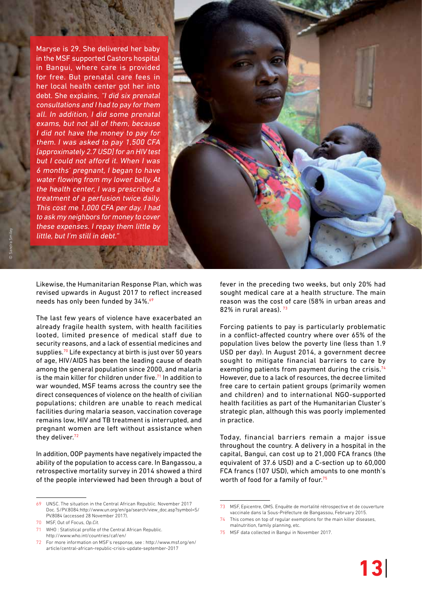Maryse is 29. She delivered her baby in the MSF supported Castors hospital in Bangui, where care is provided for free. But prenatal care fees in her local health center got her into debt. She explains, "I did six prenatal consultations and I had to pay for them all. In addition, I did some prenatal exams, but not all of them, because I did not have the money to pay for them. I was asked to pay 1,500 CFA [approximately 2.7 USD] for an HIV test but I could not afford it. When I was 6 months' pregnant, I began to have water flowing from my lower belly. At the health center, I was prescribed a treatment of a perfusion twice daily. This cost me 1,000 CFA per day. I had to ask my neighbors for money to cover these expenses. I repay them little by little, but I'm still in debt."

Likewise, the Humanitarian Response Plan, which was revised upwards in August 2017 to reflect increased needs has only been funded by 34%.<sup>69</sup>

The last few years of violence have exacerbated an already fragile health system, with health facilities looted, limited presence of medical staff due to security reasons, and a lack of essential medicines and supplies.<sup>70</sup> Life expectancy at birth is just over 50 years of age, HIV/AIDS has been the leading cause of death among the general population since 2000, and malaria is the main killer for children under five.<sup>71</sup> In addition to war wounded, MSF teams across the country see the direct consequences of violence on the health of civilian populations; children are unable to reach medical facilities during malaria season, vaccination coverage remains low, HIV and TB treatment is interrupted, and pregnant women are left without assistance when they deliver.<sup>72</sup>

In addition, OOP payments have negatively impacted the ability of the population to access care. In Bangassou, a retrospective mortality survey in 2014 showed a third of the people interviewed had been through a bout of fever in the preceding two weeks, but only 20% had sought medical care at a health structure. The main reason was the cost of care (58% in urban areas and 82% in rural areas). 73

Forcing patients to pay is particularly problematic in a conflict-affected country where over 65% of the population lives below the poverty line (less than 1.9 USD per day). In August 2014, a government decree sought to mitigate financial barriers to care by exempting patients from payment during the crisis.<sup>74</sup> However, due to a lack of resources, the decree limited free care to certain patient groups (primarily women and children) and to international NGO-supported health facilities as part of the Humanitarian Cluster's strategic plan, although this was poorly implemented in practice.

Today, financial barriers remain a major issue throughout the country. A delivery in a hospital in the capital, Bangui, can cost up to 21,000 FCA francs (the equivalent of 37.6 USD) and a C-section up to 60,000 FCA francs (107 USD), which amounts to one month's worth of food for a family of four.<sup>75</sup>

<sup>69</sup> UNSC. The situation in the Central African Republic. November 2017 Doc. S/PV.8084:[http://www.un.org/en/ga/search/view\\_doc.asp?symbol=S/](http://www.un.org/en/ga/search/view_doc.asp%3Fsymbol%3DS/PV.8084) [PV.8084](http://www.un.org/en/ga/search/view_doc.asp%3Fsymbol%3DS/PV.8084) (accessed 28 November 2017).

<sup>70</sup> MSF, Out of Focus, <Op.Cit>.

<sup>71</sup> WHO : Statistical profile of the Central African Republic. <http://www.who.int/countries/caf/en/>

<sup>72</sup> For more information on MSF's response, see : [http://www.msf.org/en/](http://www.msf.org/en/article/central-african-republic-crisis-update-september-2017) [article/central-african-republic-crisis-update-september-2017](http://www.msf.org/en/article/central-african-republic-crisis-update-september-2017)

<sup>73</sup> MSF, Epicentre, OMS. Enquête de mortalité rétrospective et de couverture vaccinale dans la Sous-Préfecture de Bangassou, February 2015.

This comes on top of regular exemptions for the main killer diseases, malnutrition, family planning, etc.

<sup>75</sup> MSF data collected in Bangui in November 2017.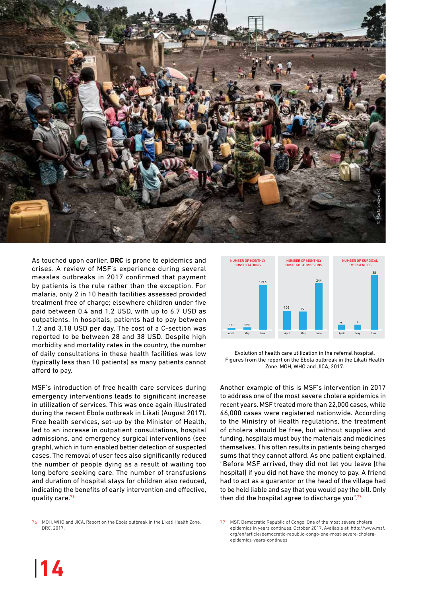

As touched upon earlier, **DRC** is prone to epidemics and crises. A review of MSF's experience during several measles outbreaks in 2017 confirmed that payment by patients is the rule rather than the exception. For malaria, only 2 in 10 health facilities assessed provided treatment free of charge; elsewhere children under five paid between 0.4 and 1.2 USD, with up to 6.7 USD as outpatients. In hospitals, patients had to pay between 1.2 and 3.18 USD per day. The cost of a C-section was reported to be between 28 and 38 USD. Despite high morbidity and mortality rates in the country, the number of daily consultations in these health facilities was low (typically less than 10 patients) as many patients cannot afford to pay.

MSF's introduction of free health care services during emergency interventions leads to significant increase in utilization of services. This was once again illustrated during the recent Ebola outbreak in Likati (August 2017). Free health services, set-up by the Minister of Health, led to an increase in outpatient consultations, hospital admissions, and emergency surgical interventions (see graph), which in turn enabled better detection of suspected cases. The removal of user fees also significantly reduced the number of people dying as a result of waiting too long before seeking care. The number of transfusions and duration of hospital stays for children also reduced, indicating the benefits of early intervention and effective, quality care.76



Evolution of health care utilization in the referral hospital. Figures from the report on the Ebola outbreak in the Likati Health Zone. MOH, WHO and JICA, 2017.

Another example of this is MSF's intervention in 2017 to address one of the most severe cholera epidemics in recent years. MSF treated more than 22,000 cases, while 46,000 cases were registered nationwide. According to the Ministry of Health regulations, the treatment of cholera should be free, but without supplies and funding, hospitals must buy the materials and medicines themselves. This often results in patients being charged sums that they cannot afford. As one patient explained, "Before MSF arrived, they did not let you leave [the hospital] if you did not have the money to pay. A friend had to act as a guarantor or the head of the village had to be held liable and say that you would pay the bill. Only then did the hospital agree to discharge you".<sup>77</sup>

<sup>76</sup> MOH, WHO and JICA. Report on the Ebola outbreak in the Likati Health Zone, DRC. 2017.

MSF, Democratic Republic of Congo: One of the most severe cholera epidemics in years continues, October 2017. Available at: [http://www.msf.](http://www.msf.org/en/article/democratic-republic-congo-one-most-severe-cholera-epidemics-years-continues) [org/en/article/democratic-republic-congo-one-most-severe-cholera](http://www.msf.org/en/article/democratic-republic-congo-one-most-severe-cholera-epidemics-years-continues)[epidemics-years-continues](http://www.msf.org/en/article/democratic-republic-congo-one-most-severe-cholera-epidemics-years-continues)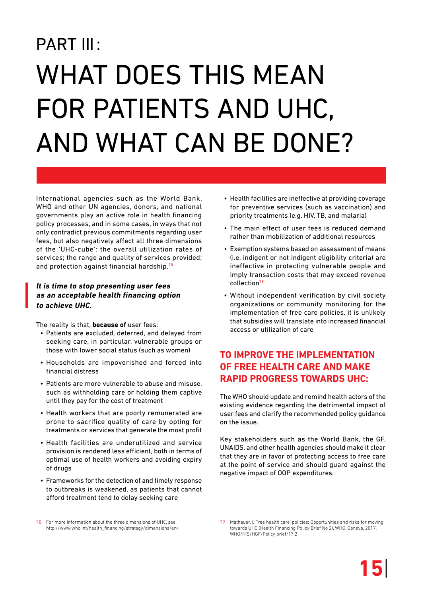# PART III: WHAT DOES THIS MEAN for patients and UHC, and what can be done?

International agencies such as the World Bank, WHO and other UN agencies, donors, and national governments play an active role in health financing policy processes, and in some cases, in ways that not only contradict previous commitments regarding user fees, but also negatively affect all three dimensions of the 'UHC-cube': the overall utilization rates of services; the range and quality of services provided; and protection against financial hardship.<sup>78</sup>

#### **It is time to stop presenting user fees as an acceptable health financing option to achieve UHC.**

The reality is that, **because of** user fees:

- • Patients are excluded, deterred, and delayed from seeking care, in particular, vulnerable groups or those with lower social status (such as women)
- • Households are impoverished and forced into financial distress
- Patients are more vulnerable to abuse and misuse. such as withholding care or holding them captive until they pay for the cost of treatment
- Health workers that are poorly remunerated are prone to sacrifice quality of care by opting for treatments or services that generate the most profit
- Health facilities are underutilized and service provision is rendered less efficient, both in terms of optimal use of health workers and avoiding expiry of drugs
- Frameworks for the detection of and timely response to outbreaks is weakened, as patients that cannot afford treatment tend to delay seeking care
- Health facilities are ineffective at providing coverage for preventive services (such as vaccination) and priority treatments (e.g. HIV, TB, and malaria)
- The main effect of user fees is reduced demand rather than mobilization of additional resources
- Exemption systems based on assessment of means (i.e. indigent or not indigent eligibility criteria) are ineffective in protecting vulnerable people and imply transaction costs that may exceed revenue collection<sup>79</sup>
- Without independent verification by civil society organizations or community monitoring for the implementation of free care policies, it is unlikely that subsidies will translate into increased financial access or utilization of care

### **To improve the implementation of free health care and make rapid progress towards UHC:**

The WHO should update and remind health actors of the existing evidence regarding the detrimental impact of user fees and clarify the recommended policy guidance on the issue.

Key stakeholders such as the World Bank, the GF, UNAIDS, and other health agencies should make it clear that they are in favor of protecting access to free care at the point of service and should guard against the negative impact of OOP expenditures.

<sup>78</sup> For more information about the three dimensions of UHC, see: [http://www.who.int/health\\_financing/strategy/dimensions/en/](http://www.who.int/health_financing/strategy/dimensions/en/)

<sup>79</sup> Mathauer, I. Free health care' policies: Opportunities and risks for moving towards UHC (Health Financing Policy Brief No 2), WHO, Geneva. 2017. WHO/HIS/HGF/Policy brief/17.2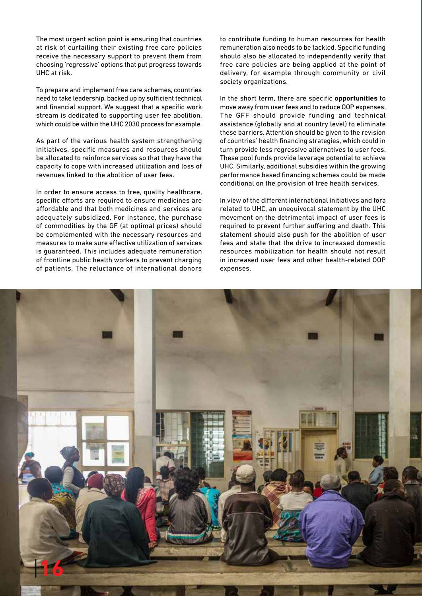The most urgent action point is ensuring that countries at risk of curtailing their existing free care policies receive the necessary support to prevent them from choosing 'regressive' options that put progress towards UHC at risk.

To prepare and implement free care schemes, countries need to take leadership, backed up by sufficient technical and financial support. We suggest that a specific work stream is dedicated to supporting user fee abolition, which could be within the UHC 2030 process for example.

As part of the various health system strengthening initiatives, specific measures and resources should be allocated to reinforce services so that they have the capacity to cope with increased utilization and loss of revenues linked to the abolition of user fees.

In order to ensure access to free, quality healthcare, specific efforts are required to ensure medicines are affordable and that both medicines and services are adequately subsidized. For instance, the purchase of commodities by the GF (at optimal prices) should be complemented with the necessary resources and measures to make sure effective utilization of services is guaranteed. This includes adequate remuneration of frontline public health workers to prevent charging of patients. The reluctance of international donors

to contribute funding to human resources for health remuneration also needs to be tackled. Specific funding should also be allocated to independently verify that free care policies are being applied at the point of delivery, for example through community or civil society organizations.

In the short term, there are specific **opportunities** to move away from user fees and to reduce OOP expenses. The GFF should provide funding and technical assistance (globally and at country level) to eliminate these barriers. Attention should be given to the revision of countries' health financing strategies, which could in turn provide less regressive alternatives to user fees. These pool funds provide leverage potential to achieve UHC. Similarly, additional subsidies within the growing performance based financing schemes could be made conditional on the provision of free health services.

In view of the different international initiatives and fora related to UHC, an unequivocal statement by the UHC movement on the detrimental impact of user fees is required to prevent further suffering and death. This statement should also push for the abolition of user fees and state that the drive to increased domestic resources mobilization for health should not result in increased user fees and other health-related OOP expenses.

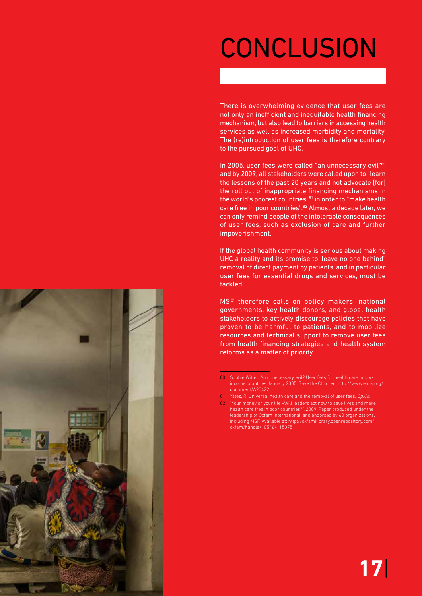## **CONCLUSION**

There is overwhelming evidence that user fees are not only an inefficient and inequitable health financing mechanism, but also lead to barriers in accessing health services as well as increased morbidity and mortality. The (re)introduction of user fees is therefore contrary to the pursued goal of UHC.

In 2005, user fees were called "an unnecessary evil"80 and by 2009, all stakeholders were called upon to "learn the lessons of the past 20 years and not advocate [for] the roll out of inappropriate financing mechanisms in the world's poorest countries"81 in order to "make health care free in poor countries".82 Almost a decade later, we can only remind people of the intolerable consequences of user fees, such as exclusion of care and further impoverishment.

If the global health community is serious about making UHC a reality and its promise to 'leave no one behind', removal of direct payment by patients, and in particular user fees for essential drugs and services, must be tackled.

MSF therefore calls on policy makers, national governments, key health donors, and global health stakeholders to actively discourage policies that have proven to be harmful to patients, and to mobilize resources and technical support to remove user fees from health financing strategies and health system reforms as a matter of priority.



<sup>80</sup> Sophie Witter. An unnecessary evil? User fees for health care in lowincome countries January 2005, Save the Children. [http://www.eldis.org/](http://www.eldis.org/document/A20422) [document/A20422](http://www.eldis.org/document/A20422)

<sup>81</sup> Yates, R. Universal health care and the removal of user fees. <Op.Cit>.

<sup>82</sup> "Your money or your life –Will leaders act now to save lives and make health care free in poor countries?", 2009. Paper produced under the leadership of Oxfam international, and endorsed by 60 organizations, including MSF. Available at: [http://oxfamilibrary.openrepository.com/](http://oxfamilibrary.openrepository.com/oxfam/handle/10546/115075) [oxfam/handle/10546/115075](http://oxfamilibrary.openrepository.com/oxfam/handle/10546/115075)